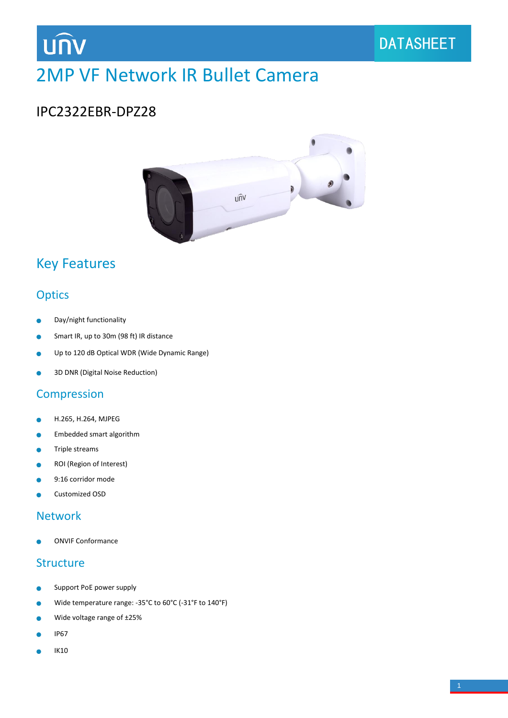# **UNV**

# 2MP VF Network IR Bullet Camera

### IPC2322EBR-DPZ28



### Key Features

### **Optics**

- Day/night functionality Ċ
- Smart IR, up to 30m (98 ft) IR distance ÷
- Up to 120 dB Optical WDR (Wide Dynamic Range) ò
- 3D DNR (Digital Noise Reduction) ä

### Compression

- H.265, H.264, MJPEG  $\bullet$
- Embedded smart algorithm Ò
- Triple streams  $\bullet$
- ROI (Region of Interest)  $\bullet$
- 9:16 corridor mode ۸
- Customized OSD ×

### Network

ONVIF Conformance

#### **Structure**

- Support PoE power supply  $\bullet$
- Wide temperature range: -35°C to 60°C (-31°F to 140°F)  $\bullet$
- Wide voltage range of ±25% ò
- IP67
- IK10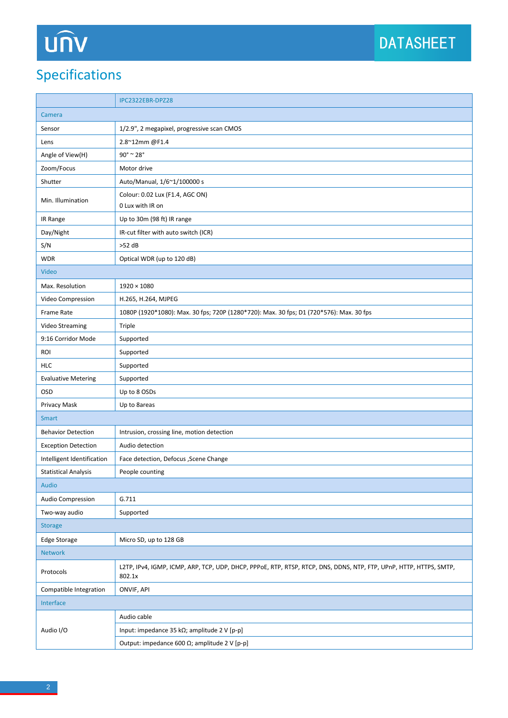# UNV

## Specifications

|                             | IPC2322EBR-DPZ28                                                                                                             |  |  |
|-----------------------------|------------------------------------------------------------------------------------------------------------------------------|--|--|
| Camera                      |                                                                                                                              |  |  |
| Sensor                      | 1/2.9", 2 megapixel, progressive scan CMOS                                                                                   |  |  |
| Lens                        | 2.8~12mm@F1.4                                                                                                                |  |  |
| Angle of View(H)            | $90^\circ$ ~ 28°                                                                                                             |  |  |
| Zoom/Focus                  | Motor drive                                                                                                                  |  |  |
| Shutter                     | Auto/Manual, 1/6~1/100000 s                                                                                                  |  |  |
| Min. Illumination           | Colour: 0.02 Lux (F1.4, AGC ON)                                                                                              |  |  |
|                             | 0 Lux with IR on                                                                                                             |  |  |
| IR Range                    | Up to 30m (98 ft) IR range                                                                                                   |  |  |
| Day/Night                   | IR-cut filter with auto switch (ICR)                                                                                         |  |  |
| S/N                         | $>52$ dB                                                                                                                     |  |  |
| <b>WDR</b>                  | Optical WDR (up to 120 dB)                                                                                                   |  |  |
| Video                       |                                                                                                                              |  |  |
| Max. Resolution             | $1920 \times 1080$                                                                                                           |  |  |
| Video Compression           | H.265, H.264, MJPEG                                                                                                          |  |  |
| <b>Frame Rate</b>           | 1080P (1920*1080): Max. 30 fps; 720P (1280*720): Max. 30 fps; D1 (720*576): Max. 30 fps                                      |  |  |
| Video Streaming             | Triple                                                                                                                       |  |  |
| 9:16 Corridor Mode          | Supported                                                                                                                    |  |  |
| ROI                         | Supported                                                                                                                    |  |  |
| <b>HLC</b>                  | Supported                                                                                                                    |  |  |
| <b>Evaluative Metering</b>  | Supported                                                                                                                    |  |  |
| <b>OSD</b>                  | Up to 8 OSDs                                                                                                                 |  |  |
| Privacy Mask                | Up to 8areas                                                                                                                 |  |  |
| <b>Smart</b>                |                                                                                                                              |  |  |
| <b>Behavior Detection</b>   | Intrusion, crossing line, motion detection                                                                                   |  |  |
| <b>Exception Detection</b>  | Audio detection                                                                                                              |  |  |
| Intelligent Identification  | Face detection, Defocus , Scene Change                                                                                       |  |  |
| <b>Statistical Analysis</b> | People counting                                                                                                              |  |  |
| Audio                       |                                                                                                                              |  |  |
| Audio Compression           | G.711                                                                                                                        |  |  |
| Two-way audio               | Supported                                                                                                                    |  |  |
| <b>Storage</b>              |                                                                                                                              |  |  |
| Edge Storage                | Micro SD, up to 128 GB                                                                                                       |  |  |
| <b>Network</b>              |                                                                                                                              |  |  |
| Protocols                   | L2TP, IPv4, IGMP, ICMP, ARP, TCP, UDP, DHCP, PPPoE, RTP, RTSP, RTCP, DNS, DDNS, NTP, FTP, UPnP, HTTP, HTTPS, SMTP,<br>802.1x |  |  |
| Compatible Integration      | ONVIF, API                                                                                                                   |  |  |
| Interface                   |                                                                                                                              |  |  |
| Audio I/O                   | Audio cable                                                                                                                  |  |  |
|                             | Input: impedance 35 k $\Omega$ ; amplitude 2 V [p-p]                                                                         |  |  |
|                             | Output: impedance 600 $\Omega$ ; amplitude 2 V [p-p]                                                                         |  |  |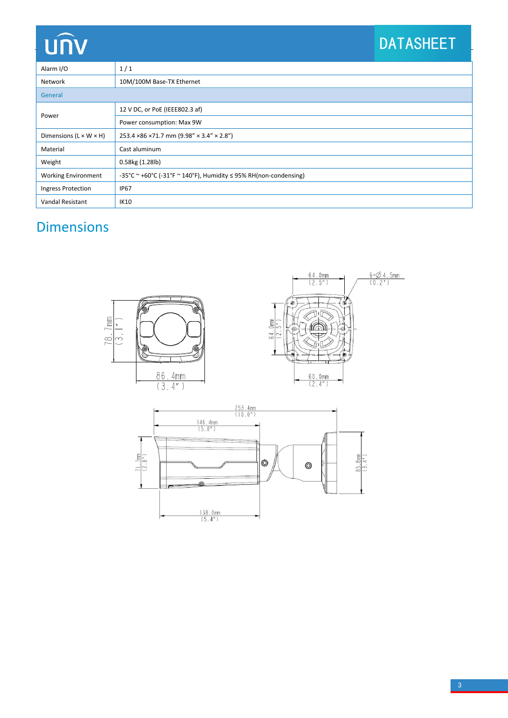# **UNV**

## DATASHEET

| Alarm I/O                          | 1/1                                                                   |  |  |  |
|------------------------------------|-----------------------------------------------------------------------|--|--|--|
| Network                            | 10M/100M Base-TX Ethernet                                             |  |  |  |
| General                            |                                                                       |  |  |  |
| Power                              | 12 V DC, or PoE (IEEE802.3 af)                                        |  |  |  |
|                                    | Power consumption: Max 9W                                             |  |  |  |
| Dimensions $(L \times W \times H)$ | 253.4 × 86 × 71.7 mm (9.98" × 3.4" × 2.8")                            |  |  |  |
| Material                           | Cast aluminum                                                         |  |  |  |
| Weight                             | 0.58kg (1.28lb)                                                       |  |  |  |
| <b>Working Environment</b>         | -35°C ~ +60°C (-31°F ~ 140°F), Humidity $\leq$ 95% RH(non-condensing) |  |  |  |
| Ingress Protection                 | <b>IP67</b>                                                           |  |  |  |
| Vandal Resistant                   | <b>IK10</b>                                                           |  |  |  |

## Dimensions